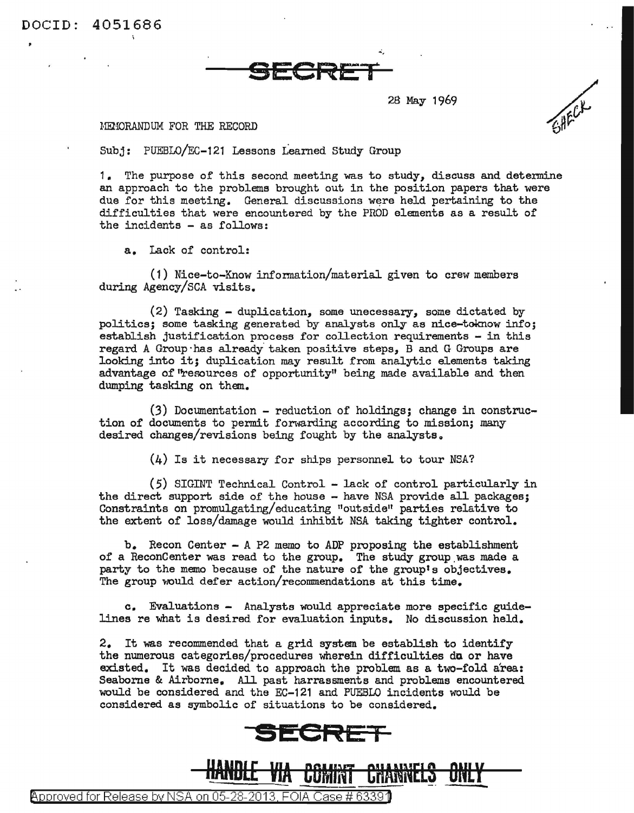DOCID: 4051686

## **SECRET**

28 May 1969

## MEMORANDUM FOR THE RECORD

Subj: PUEBLO/EC-121 Lessons Learned Study Group

1. The purpose of this second meeting was to study, discuss and determine an approach to the problems brought out in the position papers that were due for this meeting. General discussions were held pertaining to the difficulties that were encountered by the PROD elements as a result of the incidents - as follows:

a. Lack of control:

(1) Nice-to-Know infonnation/material given to crew members during Agency/SCA visits.

(2) Tasking - duplication, some unecessary, some dictated by politics; some tasking generated by analysts only ae nice-toknow info; establish justification process for collection requirements - in this regard A Group has already taken positive steps, B and G Groups are looking into it; duplication may result from analytic elements taking advantage of 'resources of opportunity" being made available and then dumping tasking on them.

(3) Documentation - reduction of holdings; change in construction of documents to permit forwarding according to mission; many desired changes/revisions being fought by the analysts.

(4) Is it necessary for ships personnel to tour NSA?

(5) SIGTIJT Technical Control - lack of control particularly in the direct support side of the house - have NSA provide all packages; Constraints on promulgating/ educating "outside" parties relative to the extent of loss/damage would inhibit NSA taking tighter control.

b. Recon Center - A P2 memo to ADP proposing the establishment of a ReconCenter was read to the group. The study group was made a party to the memo because of the nature of the group's objectives. The group would defer action/recommendations at this time.

c. Evaluations - Analysts would appreciate more specific guidelines re what is desired for evaluation inputs. No discussion held.

2. It was recommended that a grid system be establish to identify the numerous categories/procedures wherein difficulties do or have existed. It was decided to approach the problem as a two-fold area: Seaborne & Airborne. All past harrassments and problems encountered would be considered and the EC-121 and PUEBLO incidents would be considered as symbolic of situations to be considered.





@>pproved for Release by NSA on 05-28-2013. FOIA Case# 6339'D